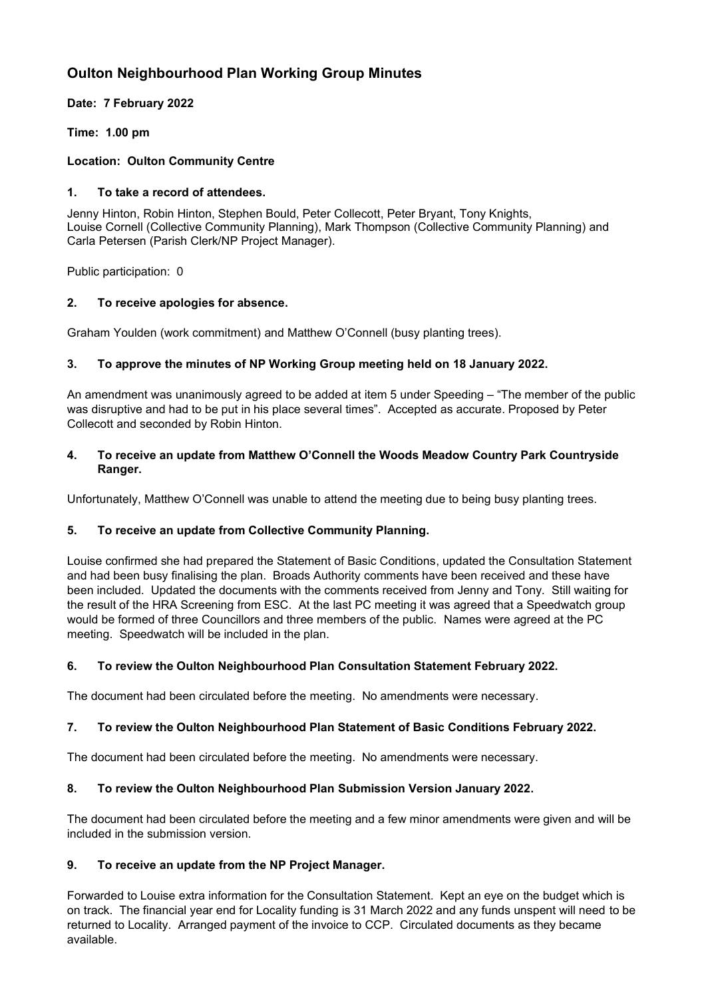# **Oulton Neighbourhood Plan Working Group Minutes**

# **Date: 7 February 2022**

# **Time: 1.00 pm**

# **Location: Oulton Community Centre**

## **1. To take a record of attendees.**

Jenny Hinton, Robin Hinton, Stephen Bould, Peter Collecott, Peter Bryant, Tony Knights, Louise Cornell (Collective Community Planning), Mark Thompson (Collective Community Planning) and Carla Petersen (Parish Clerk/NP Project Manager).

Public participation: 0

# **2. To receive apologies for absence.**

Graham Youlden (work commitment) and Matthew O'Connell (busy planting trees).

# **3. To approve the minutes of NP Working Group meeting held on 18 January 2022.**

An amendment was unanimously agreed to be added at item 5 under Speeding – "The member of the public was disruptive and had to be put in his place several times". Accepted as accurate. Proposed by Peter Collecott and seconded by Robin Hinton.

## **4. To receive an update from Matthew O'Connell the Woods Meadow Country Park Countryside Ranger.**

Unfortunately, Matthew O'Connell was unable to attend the meeting due to being busy planting trees.

#### **5. To receive an update from Collective Community Planning.**

Louise confirmed she had prepared the Statement of Basic Conditions, updated the Consultation Statement and had been busy finalising the plan. Broads Authority comments have been received and these have been included. Updated the documents with the comments received from Jenny and Tony. Still waiting for the result of the HRA Screening from ESC. At the last PC meeting it was agreed that a Speedwatch group would be formed of three Councillors and three members of the public. Names were agreed at the PC meeting. Speedwatch will be included in the plan.

#### **6. To review the Oulton Neighbourhood Plan Consultation Statement February 2022.**

The document had been circulated before the meeting. No amendments were necessary.

#### **7. To review the Oulton Neighbourhood Plan Statement of Basic Conditions February 2022.**

The document had been circulated before the meeting. No amendments were necessary.

#### **8. To review the Oulton Neighbourhood Plan Submission Version January 2022.**

The document had been circulated before the meeting and a few minor amendments were given and will be included in the submission version.

#### **9. To receive an update from the NP Project Manager.**

Forwarded to Louise extra information for the Consultation Statement. Kept an eye on the budget which is on track. The financial year end for Locality funding is 31 March 2022 and any funds unspent will need to be returned to Locality. Arranged payment of the invoice to CCP. Circulated documents as they became available.